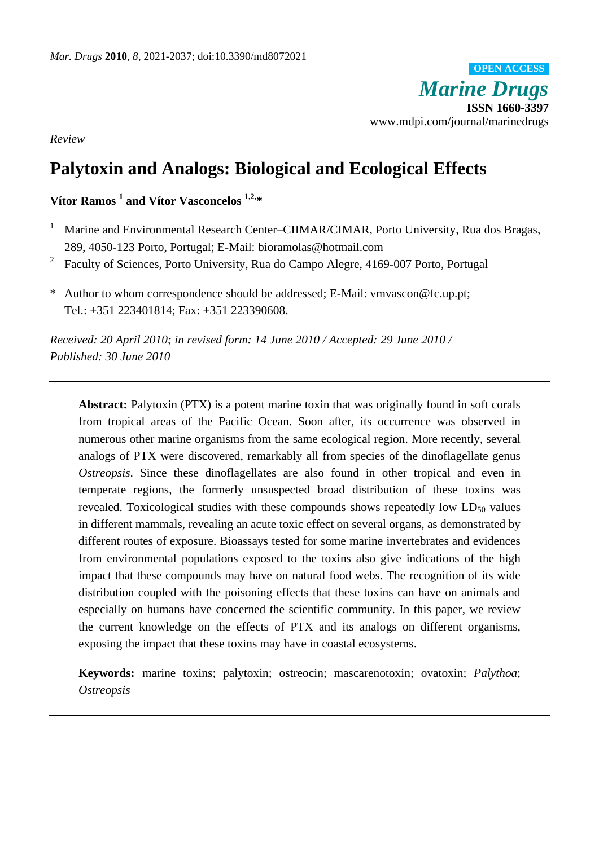*Marine Drugs* **ISSN 1660-3397** www.mdpi.com/journal/marinedrugs **OPEN ACCESS**

*Review*

# **Palytoxin and Analogs: Biological and Ecological Effects**

**Vítor Ramos <sup>1</sup> and Vítor Vasconcelos 1,2, \***

- <sup>1</sup> Marine and Environmental Research Center–CIIMAR/CIMAR, Porto University, Rua dos Bragas, 289, 4050-123 Porto, Portugal; E-Mail: bioramolas@hotmail.com
- 2 Faculty of Sciences, Porto University, Rua do Campo Alegre, 4169-007 Porto, Portugal
- \* Author to whom correspondence should be addressed; E-Mail: vmvascon@fc.up.pt; Tel.: +351 223401814; Fax: +351 223390608.

*Received: 20 April 2010; in revised form: 14 June 2010 / Accepted: 29 June 2010 / Published: 30 June 2010*

**Abstract:** Palytoxin (PTX) is a potent marine toxin that was originally found in soft corals from tropical areas of the Pacific Ocean. Soon after, its occurrence was observed in numerous other marine organisms from the same ecological region. More recently, several analogs of PTX were discovered, remarkably all from species of the dinoflagellate genus *Ostreopsis*. Since these dinoflagellates are also found in other tropical and even in temperate regions, the formerly unsuspected broad distribution of these toxins was revealed. Toxicological studies with these compounds shows repeatedly low  $LD_{50}$  values in different mammals, revealing an acute toxic effect on several organs, as demonstrated by different routes of exposure. Bioassays tested for some marine invertebrates and evidences from environmental populations exposed to the toxins also give indications of the high impact that these compounds may have on natural food webs. The recognition of its wide distribution coupled with the poisoning effects that these toxins can have on animals and especially on humans have concerned the scientific community. In this paper, we review the current knowledge on the effects of PTX and its analogs on different organisms, exposing the impact that these toxins may have in coastal ecosystems.

**Keywords:** marine toxins; palytoxin; ostreocin; mascarenotoxin; ovatoxin; *Palythoa*; *Ostreopsis*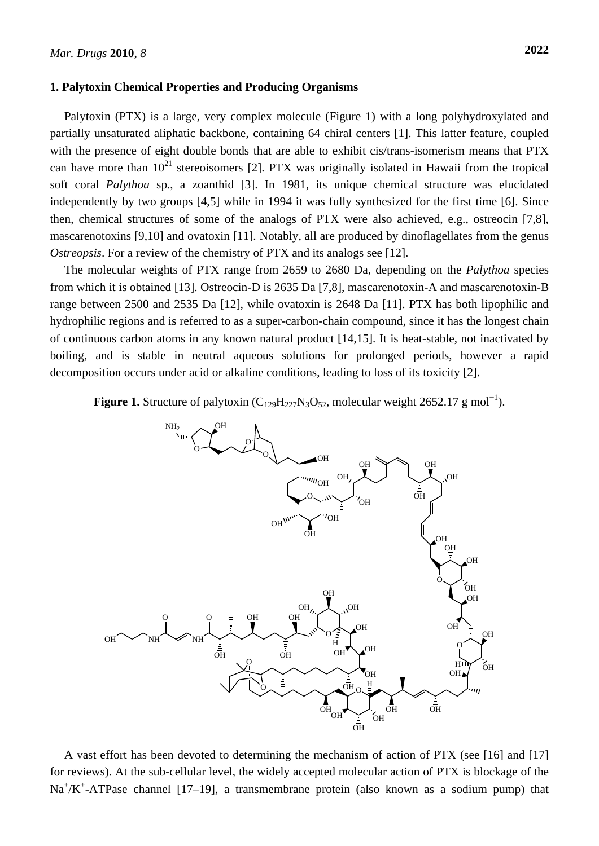#### **1. Palytoxin Chemical Properties and Producing Organisms**

Palytoxin (PTX) is a large, very complex molecule (Figure 1) with a long polyhydroxylated and partially unsaturated aliphatic backbone, containing 64 chiral centers [1]. This latter feature, coupled with the presence of eight double bonds that are able to exhibit cis/trans-isomerism means that PTX can have more than  $10^{21}$  stereoisomers [2]. PTX was originally isolated in Hawaii from the tropical soft coral *Palythoa* sp., a zoanthid [3]. In 1981, its unique chemical structure was elucidated independently by two groups [4,5] while in 1994 it was fully synthesized for the first time [6]. Since then, chemical structures of some of the analogs of PTX were also achieved, e.g., ostreocin [7,8], mascarenotoxins [9,10] and ovatoxin [11]. Notably, all are produced by dinoflagellates from the genus *Ostreopsis*. For a review of the chemistry of PTX and its analogs see [12].

The molecular weights of PTX range from 2659 to 2680 Da, depending on the *Palythoa* species from which it is obtained [13]. Ostreocin-D is 2635 Da [7,8], mascarenotoxin-A and mascarenotoxin-B range between 2500 and 2535 Da [12], while ovatoxin is 2648 Da [11]. PTX has both lipophilic and hydrophilic regions and is referred to as a super-carbon-chain compound, since it has the longest chain of continuous carbon atoms in any known natural product [14,15]. It is heat-stable, not inactivated by boiling, and is stable in neutral aqueous solutions for prolonged periods, however a rapid decomposition occurs under acid or alkaline conditions, leading to loss of its toxicity [2].

**Figure 1.** Structure of palytoxin ( $C_{129}H_{227}N_3O_{52}$ , molecular weight 2652.17 g mol<sup>-1</sup>).



A vast effort has been devoted to determining the mechanism of action of PTX (see [16] and [17] for reviews). At the sub-cellular level, the widely accepted molecular action of PTX is blockage of the  $Na<sup>+</sup>/K<sup>+</sup>-ATPase channel$  [17–19], a transmembrane protein (also known as a sodium pump) that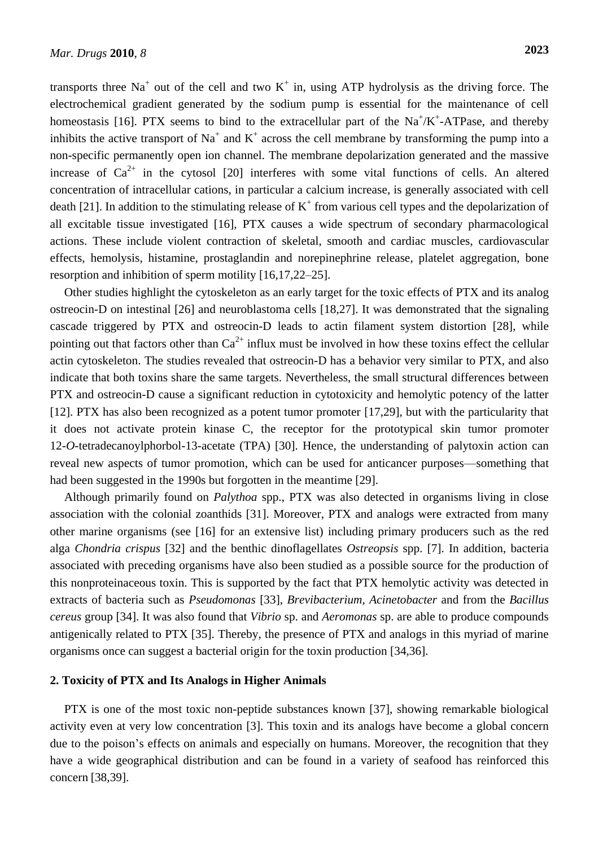transports three Na<sup>+</sup> out of the cell and two  $K^+$  in, using ATP hydrolysis as the driving force. The electrochemical gradient generated by the sodium pump is essential for the maintenance of cell homeostasis [16]. PTX seems to bind to the extracellular part of the  $Na^+/K^+$ -ATPase, and thereby inhibits the active transport of  $Na<sup>+</sup>$  and  $K<sup>+</sup>$  across the cell membrane by transforming the pump into a non-specific permanently open ion channel. The membrane depolarization generated and the massive increase of  $Ca^{2+}$  in the cytosol [20] interferes with some vital functions of cells. An altered concentration of intracellular cations, in particular a calcium increase, is generally associated with cell death [21]. In addition to the stimulating release of  $K^+$  from various cell types and the depolarization of all excitable tissue investigated [16], PTX causes a wide spectrum of secondary pharmacological actions. These include violent contraction of skeletal, smooth and cardiac muscles, cardiovascular effects, hemolysis, histamine, prostaglandin and norepinephrine release, platelet aggregation, bone resorption and inhibition of sperm motility [16,17,22–25].

Other studies highlight the cytoskeleton as an early target for the toxic effects of PTX and its analog ostreocin-D on intestinal [26] and neuroblastoma cells [18,27]. It was demonstrated that the signaling cascade triggered by PTX and ostreocin-D leads to actin filament system distortion [28], while pointing out that factors other than  $Ca^{2+}$  influx must be involved in how these toxins effect the cellular actin cytoskeleton. The studies revealed that ostreocin-D has a behavior very similar to PTX, and also indicate that both toxins share the same targets. Nevertheless, the small structural differences between PTX and ostreocin-D cause a significant reduction in cytotoxicity and hemolytic potency of the latter [12]. PTX has also been recognized as a potent tumor promoter [17,29], but with the particularity that it does not activate protein kinase C, the receptor for the prototypical skin tumor promoter 12-*O*-tetradecanoylphorbol-13-acetate (TPA) [30]. Hence, the understanding of palytoxin action can reveal new aspects of tumor promotion, which can be used for anticancer purposes—something that had been suggested in the 1990s but forgotten in the meantime [29].

Although primarily found on *Palythoa* spp., PTX was also detected in organisms living in close association with the colonial zoanthids [31]. Moreover, PTX and analogs were extracted from many other marine organisms (see [16] for an extensive list) including primary producers such as the red alga *Chondria crispus* [32] and the benthic dinoflagellates *Ostreopsis* spp. [7]. In addition, bacteria associated with preceding organisms have also been studied as a possible source for the production of this nonproteinaceous toxin. This is supported by the fact that PTX hemolytic activity was detected in extracts of bacteria such as *Pseudomonas* [33], *Brevibacterium, Acinetobacter* and from the *Bacillus cereus* group [34]. It was also found that *Vibrio* sp. and *Aeromonas* sp. are able to produce compounds antigenically related to PTX [35]. Thereby, the presence of PTX and analogs in this myriad of marine organisms once can suggest a bacterial origin for the toxin production [34,36].

## **2. Toxicity of PTX and Its Analogs in Higher Animals**

PTX is one of the most toxic non-peptide substances known [37], showing remarkable biological activity even at very low concentration [3]. This toxin and its analogs have become a global concern due to the poison's effects on animals and especially on humans. Moreover, the recognition that they have a wide geographical distribution and can be found in a variety of seafood has reinforced this concern [38,39].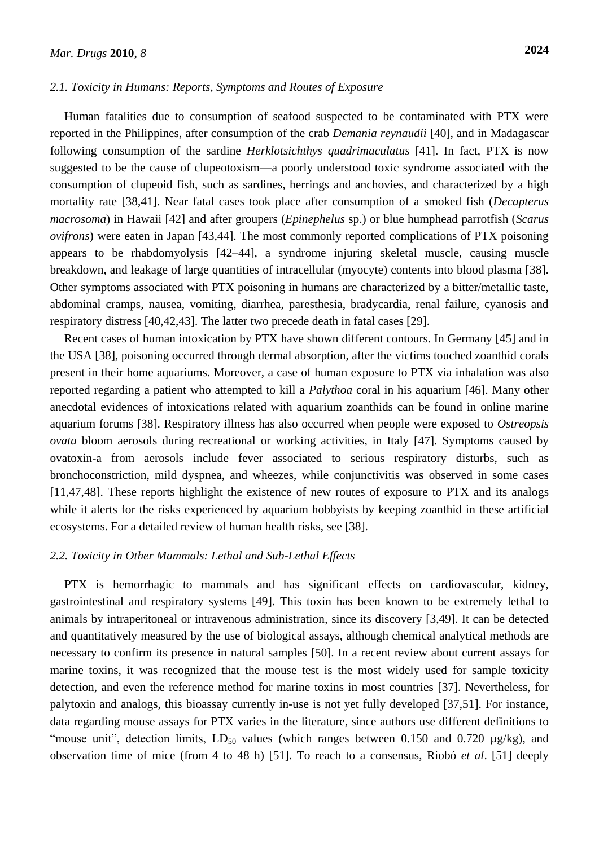#### *2.1. Toxicity in Humans: Reports, Symptoms and Routes of Exposure*

Human fatalities due to consumption of seafood suspected to be contaminated with PTX were reported in the Philippines, after consumption of the crab *Demania reynaudii* [40], and in Madagascar following consumption of the sardine *Herklotsichthys quadrimaculatus* [41]. In fact, PTX is now suggested to be the cause of clupeotoxism—a poorly understood toxic syndrome associated with the consumption of clupeoid fish, such as sardines, herrings and anchovies, and characterized by a high mortality rate [38,41]. Near fatal cases took place after consumption of a smoked fish (*Decapterus macrosoma*) in Hawaii [42] and after groupers (*Epinephelus* sp.) or blue humphead parrotfish (*Scarus ovifrons*) were eaten in Japan [43,44]. The most commonly reported complications of PTX poisoning appears to be rhabdomyolysis [42–44], a syndrome injuring skeletal muscle, causing muscle breakdown, and leakage of large quantities of intracellular (myocyte) contents into blood plasma [38]. Other symptoms associated with PTX poisoning in humans are characterized by a bitter/metallic taste, abdominal cramps, nausea, vomiting, diarrhea, paresthesia, bradycardia, renal failure, cyanosis and respiratory distress [40,42,43]. The latter two precede death in fatal cases [29].

Recent cases of human intoxication by PTX have shown different contours. In Germany [45] and in the USA [38], poisoning occurred through dermal absorption, after the victims touched zoanthid corals present in their home aquariums. Moreover, a case of human exposure to PTX via inhalation was also reported regarding a patient who attempted to kill a *Palythoa* coral in his aquarium [46]. Many other anecdotal evidences of intoxications related with aquarium zoanthids can be found in online marine aquarium forums [38]. Respiratory illness has also occurred when people were exposed to *Ostreopsis ovata* bloom aerosols during recreational or working activities, in Italy [47]. Symptoms caused by ovatoxin-a from aerosols include fever associated to serious respiratory disturbs, such as bronchoconstriction, mild dyspnea, and wheezes, while conjunctivitis was observed in some cases [11,47,48]. These reports highlight the existence of new routes of exposure to PTX and its analogs while it alerts for the risks experienced by aquarium hobbyists by keeping zoanthid in these artificial ecosystems. For a detailed review of human health risks, see [38].

#### *2.2. Toxicity in Other Mammals: Lethal and Sub-Lethal Effects*

PTX is hemorrhagic to mammals and has significant effects on cardiovascular, kidney, gastrointestinal and respiratory systems [49]. This toxin has been known to be extremely lethal to animals by intraperitoneal or intravenous administration, since its discovery [3,49]. It can be detected and quantitatively measured by the use of biological assays, although chemical analytical methods are necessary to confirm its presence in natural samples [50]. In a recent review about current assays for marine toxins, it was recognized that the mouse test is the most widely used for sample toxicity detection, and even the reference method for marine toxins in most countries [37]. Nevertheless, for palytoxin and analogs, this bioassay currently in-use is not yet fully developed [37,51]. For instance, data regarding mouse assays for PTX varies in the literature, since authors use different definitions to "mouse unit", detection limits,  $LD_{50}$  values (which ranges between 0.150 and 0.720  $\mu$ g/kg), and observation time of mice (from 4 to 48 h) [51]. To reach to a consensus, Riobó *et al*. [51] deeply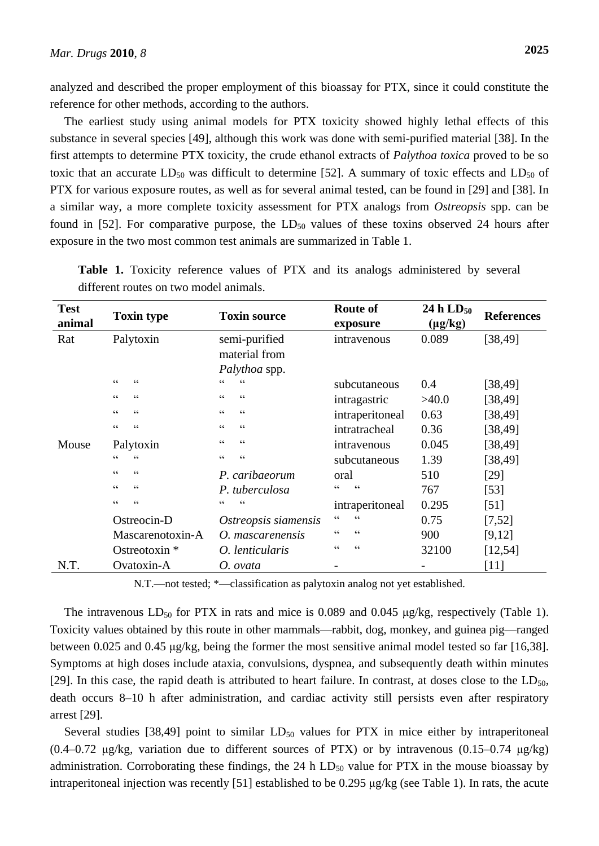analyzed and described the proper employment of this bioassay for PTX, since it could constitute the reference for other methods, according to the authors.

The earliest study using animal models for PTX toxicity showed highly lethal effects of this substance in several species [49], although this work was done with semi-purified material [38]. In the first attempts to determine PTX toxicity, the crude ethanol extracts of *Palythoa toxica* proved to be so toxic that an accurate  $LD_{50}$  was difficult to determine [52]. A summary of toxic effects and  $LD_{50}$  of PTX for various exposure routes, as well as for several animal tested, can be found in [29] and [38]. In a similar way, a more complete toxicity assessment for PTX analogs from *Ostreopsis* spp. can be found in [52]. For comparative purpose, the  $LD_{50}$  values of these toxins observed 24 hours after exposure in the two most common test animals are summarized in Table 1.

| <b>Test</b><br>animal | <b>Toxin type</b>                                                    | <b>Toxin source</b>                                     | Route of<br>exposure                   | 24 h $LD_{50}$<br>$(\mu g/kg)$ | <b>References</b> |
|-----------------------|----------------------------------------------------------------------|---------------------------------------------------------|----------------------------------------|--------------------------------|-------------------|
| Rat                   | Palytoxin                                                            | semi-purified                                           | intravenous                            | 0.089                          | [38, 49]          |
|                       |                                                                      | material from                                           |                                        |                                |                   |
|                       |                                                                      | Palythoa spp.                                           |                                        |                                |                   |
|                       | $\boldsymbol{\varsigma}$ $\boldsymbol{\varsigma}$<br>$\zeta\,\zeta$  | $\epsilon$<br>C C                                       | subcutaneous                           | 0.4                            | [38, 49]          |
|                       | $\zeta$ $\zeta$<br>$\zeta\,\zeta$                                    | cc<br>cc                                                | intragastric                           | >40.0                          | [38, 49]          |
|                       | $\zeta$ $\zeta$<br>$\epsilon$                                        | $\zeta\,\zeta$<br>$\epsilon$                            | intraperitoneal                        | 0.63                           | [38, 49]          |
|                       | $\zeta$ $\zeta$<br>$\zeta\,\zeta$                                    | $\boldsymbol{\varsigma}$ $\boldsymbol{\varsigma}$<br>cc | intratracheal                          | 0.36                           | [38, 49]          |
| Mouse                 | Palytoxin                                                            | $\boldsymbol{\varsigma}$ $\boldsymbol{\varsigma}$<br>cc | intravenous                            | 0.045                          | [38, 49]          |
|                       | $\boldsymbol{\varsigma}$ $\boldsymbol{\varsigma}$<br>$\zeta$ $\zeta$ | $\zeta\,\zeta$<br>$\zeta\,\zeta$                        | subcutaneous                           | 1.39                           | [38, 49]          |
|                       | C<br>$\zeta\,\zeta$                                                  | P. caribaeorum                                          | oral                                   | 510                            | [29]              |
|                       | cc<br>cc                                                             | P. tuberculosa                                          | cc<br>$\epsilon$                       | 767                            | $[53]$            |
|                       | $\epsilon$<br>$\zeta\,\zeta$                                         | C C<br>$\epsilon$                                       | intraperitoneal                        | 0.295                          | $[51]$            |
|                       | Ostreocin-D                                                          | Ostreopsis siamensis                                    | C<br>cc                                | 0.75                           | [7,52]            |
|                       | Mascarenotoxin-A                                                     | O. mascarenensis                                        | $\boldsymbol{\varsigma}$<br>$\epsilon$ | 900                            | [9,12]            |
|                       | Ostreotoxin *                                                        | O. lenticularis                                         | C<br>$\epsilon$                        | 32100                          | [12, 54]          |
| N.T.                  | Ovatoxin-A                                                           | O. ovata                                                |                                        |                                | $[11]$            |

**Table 1.** Toxicity reference values of PTX and its analogs administered by several different routes on two model animals.

N.T.—not tested; \*—classification as palytoxin analog not yet established.

The intravenous  $LD_{50}$  for PTX in rats and mice is 0.089 and 0.045 μg/kg, respectively (Table 1). Toxicity values obtained by this route in other mammals—rabbit, dog, monkey, and guinea pig—ranged between 0.025 and 0.45 μg/kg, being the former the most sensitive animal model tested so far [16,38]. Symptoms at high doses include ataxia, convulsions, dyspnea, and subsequently death within minutes [29]. In this case, the rapid death is attributed to heart failure. In contrast, at doses close to the  $LD_{50}$ , death occurs 8–10 h after administration, and cardiac activity still persists even after respiratory arrest [29].

Several studies  $[38,49]$  point to similar  $LD_{50}$  values for PTX in mice either by intraperitoneal  $(0.4-0.72 \text{ µg/kg}, \text{variation due to different sources of PTX})$  or by intravenous  $(0.15-0.74 \text{ µg/kg})$ administration. Corroborating these findings, the 24 h  $LD_{50}$  value for PTX in the mouse bioassay by intraperitoneal injection was recently [51] established to be 0.295 μg/kg (see Table 1). In rats, the acute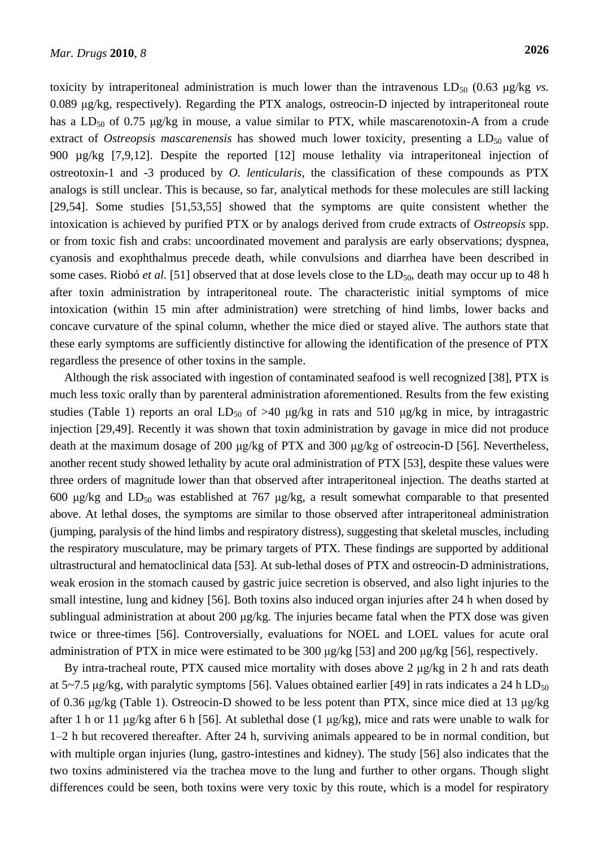toxicity by intraperitoneal administration is much lower than the intravenous LD<sub>50</sub> (0.63 μg/kg *vs.*) 0.089 μg/kg, respectively). Regarding the PTX analogs, ostreocin-D injected by intraperitoneal route has a  $LD_{50}$  of 0.75  $\mu$ g/kg in mouse, a value similar to PTX, while mascarenotoxin-A from a crude extract of *Ostreopsis mascarenensis* has showed much lower toxicity, presenting a LD<sub>50</sub> value of 900 µg/kg [7,9,12]. Despite the reported [12] mouse lethality via intraperitoneal injection of ostreotoxin-1 and -3 produced by *O. lenticularis*, the classification of these compounds as PTX analogs is still unclear. This is because, so far, analytical methods for these molecules are still lacking [29,54]. Some studies [51,53,55] showed that the symptoms are quite consistent whether the intoxication is achieved by purified PTX or by analogs derived from crude extracts of *Ostreopsis* spp. or from toxic fish and crabs: uncoordinated movement and paralysis are early observations; dyspnea, cyanosis and exophthalmus precede death, while convulsions and diarrhea have been described in some cases. Riobó *et al.* [51] observed that at dose levels close to the LD<sub>50</sub>, death may occur up to 48 h after toxin administration by intraperitoneal route. The characteristic initial symptoms of mice intoxication (within 15 min after administration) were stretching of hind limbs, lower backs and concave curvature of the spinal column, whether the mice died or stayed alive. The authors state that these early symptoms are sufficiently distinctive for allowing the identification of the presence of PTX regardless the presence of other toxins in the sample.

Although the risk associated with ingestion of contaminated seafood is well recognized [38], PTX is much less toxic orally than by parenteral administration aforementioned. Results from the few existing studies (Table 1) reports an oral LD<sub>50</sub> of >40 μg/kg in rats and 510 μg/kg in mice, by intragastric injection [29,49]. Recently it was shown that toxin administration by gavage in mice did not produce death at the maximum dosage of 200 μg/kg of PTX and 300 μg/kg of ostreocin-D [56]. Nevertheless, another recent study showed lethality by acute oral administration of PTX [53], despite these values were three orders of magnitude lower than that observed after intraperitoneal injection. The deaths started at 600 μg/kg and  $LD_{50}$  was established at 767 μg/kg, a result somewhat comparable to that presented above. At lethal doses, the symptoms are similar to those observed after intraperitoneal administration (jumping, paralysis of the hind limbs and respiratory distress), suggesting that skeletal muscles, including the respiratory musculature, may be primary targets of PTX. These findings are supported by additional ultrastructural and hematoclinical data [53]. At sub-lethal doses of PTX and ostreocin-D administrations, weak erosion in the stomach caused by gastric juice secretion is observed, and also light injuries to the small intestine, lung and kidney [56]. Both toxins also induced organ injuries after 24 h when dosed by sublingual administration at about 200 μg/kg. The injuries became fatal when the PTX dose was given twice or three-times [56]. Controversially, evaluations for NOEL and LOEL values for acute oral administration of PTX in mice were estimated to be 300 μg/kg [53] and 200 μg/kg [56], respectively.

By intra-tracheal route, PTX caused mice mortality with doses above 2 μg/kg in 2 h and rats death at  $5\negmedspace~5\negmedspace~7.5$  μg/kg, with paralytic symptoms [56]. Values obtained earlier [49] in rats indicates a 24 h LD<sub>50</sub> of 0.36 μg/kg (Table 1). Ostreocin-D showed to be less potent than PTX, since mice died at 13 μg/kg after 1 h or 11 μg/kg after 6 h [56]. At sublethal dose (1 μg/kg), mice and rats were unable to walk for 1–2 h but recovered thereafter. After 24 h, surviving animals appeared to be in normal condition, but with multiple organ injuries (lung, gastro-intestines and kidney). The study [56] also indicates that the two toxins administered via the trachea move to the lung and further to other organs. Though slight differences could be seen, both toxins were very toxic by this route, which is a model for respiratory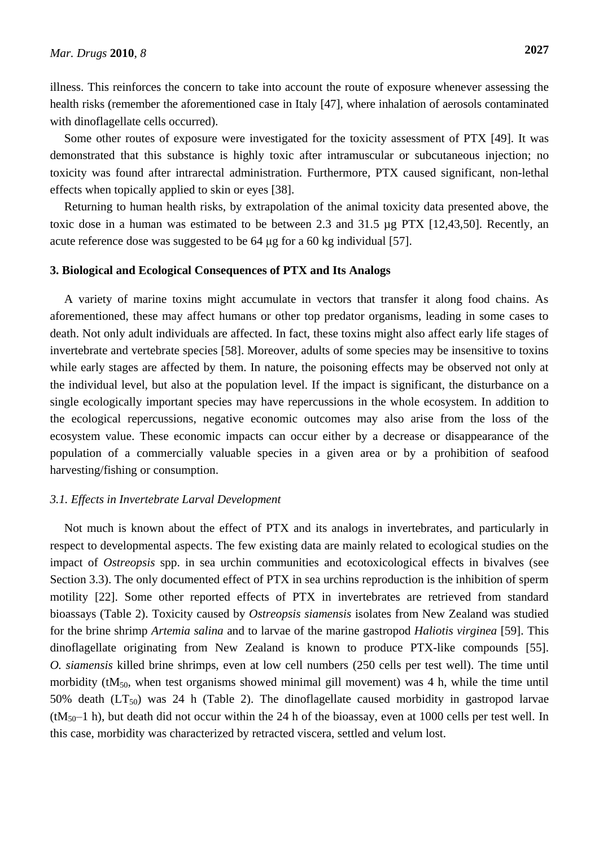illness. This reinforces the concern to take into account the route of exposure whenever assessing the health risks (remember the aforementioned case in Italy [47], where inhalation of aerosols contaminated with dinoflagellate cells occurred).

Some other routes of exposure were investigated for the toxicity assessment of PTX [49]. It was demonstrated that this substance is highly toxic after intramuscular or subcutaneous injection; no toxicity was found after intrarectal administration. Furthermore, PTX caused significant, non-lethal effects when topically applied to skin or eyes [38].

Returning to human health risks, by extrapolation of the animal toxicity data presented above, the toxic dose in a human was estimated to be between 2.3 and 31.5 µg PTX [12,43,50]. Recently, an acute reference dose was suggested to be 64 μg for a 60 kg individual [57].

#### **3. Biological and Ecological Consequences of PTX and Its Analogs**

A variety of marine toxins might accumulate in vectors that transfer it along food chains. As aforementioned, these may affect humans or other top predator organisms, leading in some cases to death. Not only adult individuals are affected. In fact, these toxins might also affect early life stages of invertebrate and vertebrate species [58]. Moreover, adults of some species may be insensitive to toxins while early stages are affected by them. In nature, the poisoning effects may be observed not only at the individual level, but also at the population level. If the impact is significant, the disturbance on a single ecologically important species may have repercussions in the whole ecosystem. In addition to the ecological repercussions, negative economic outcomes may also arise from the loss of the ecosystem value. These economic impacts can occur either by a decrease or disappearance of the population of a commercially valuable species in a given area or by a prohibition of seafood harvesting/fishing or consumption.

#### *3.1. Effects in Invertebrate Larval Development*

Not much is known about the effect of PTX and its analogs in invertebrates, and particularly in respect to developmental aspects. The few existing data are mainly related to ecological studies on the impact of *Ostreopsis* spp. in sea urchin communities and ecotoxicological effects in bivalves (see Section 3.3). The only documented effect of PTX in sea urchins reproduction is the inhibition of sperm motility [22]. Some other reported effects of PTX in invertebrates are retrieved from standard bioassays (Table 2). Toxicity caused by *Ostreopsis siamensis* isolates from New Zealand was studied for the brine shrimp *Artemia salina* and to larvae of the marine gastropod *Haliotis virginea* [59]. This dinoflagellate originating from New Zealand is known to produce PTX-like compounds [55]. *O. siamensis* killed brine shrimps, even at low cell numbers (250 cells per test well). The time until morbidity ( $tM_{50}$ , when test organisms showed minimal gill movement) was 4 h, while the time until 50% death  $(LT_{50})$  was 24 h (Table 2). The dinoflagellate caused morbidity in gastropod larvae  $(tM_{50}-1)$ , but death did not occur within the 24 h of the bioassay, even at 1000 cells per test well. In this case, morbidity was characterized by retracted viscera, settled and velum lost.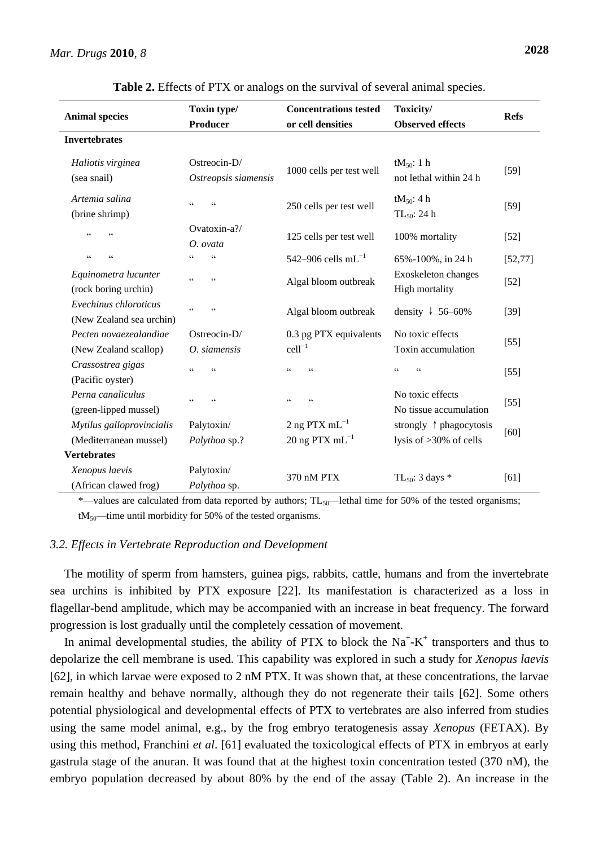|                                                   | Toxin type/                                          | <b>Concentrations tested</b>                         | Toxicity/                                        |             |  |
|---------------------------------------------------|------------------------------------------------------|------------------------------------------------------|--------------------------------------------------|-------------|--|
| <b>Animal species</b>                             | Producer                                             | or cell densities                                    | <b>Observed effects</b>                          | <b>Refs</b> |  |
| <b>Invertebrates</b>                              |                                                      |                                                      |                                                  |             |  |
| Haliotis virginea<br>(sea snail)                  | Ostreocin-D/<br>Ostreopsis siamensis                 | 1000 cells per test well                             | tM <sub>50</sub> : 1 h<br>not lethal within 24 h | $[59]$      |  |
| Artemia salina<br>(brine shrimp)                  | C<br>$\epsilon$                                      | 250 cells per test well                              | tM <sub>50</sub> : 4 h<br>$TL_{50}$ : 24 h       | $[59]$      |  |
| $\epsilon$<br>$\boldsymbol{\varsigma}$            | Ovatoxin-a?/<br>O. ovata                             | 125 cells per test well                              | 100% mortality                                   | $[52]$      |  |
| cc<br>cc                                          | $\epsilon$<br>$\epsilon$                             | 542–906 cells mL <sup>-1</sup>                       | 65%-100%, in 24 h                                | [52, 77]    |  |
| Equinometra lucunter<br>(rock boring urchin)      | C<br>cc                                              | Algal bloom outbreak                                 | Exoskeleton changes<br><b>High mortality</b>     | $[52]$      |  |
| Evechinus chloroticus<br>(New Zealand sea urchin) | $\epsilon$<br>$\epsilon$                             | Algal bloom outbreak                                 | density $\downarrow$ 56-60%                      | $[39]$      |  |
| Pecten novaezealandiae<br>(New Zealand scallop)   | Ostreocin-D/<br>O. siamensis                         | 0.3 pg PTX equivalents<br>$cell^{-1}$                | No toxic effects<br>Toxin accumulation           | $[55]$      |  |
| Crassostrea gigas<br>(Pacific oyster)             | $\epsilon$<br>$\epsilon$                             | cc<br>$\epsilon$                                     | $\epsilon$<br>$\mathsf{c}\,\mathsf{c}$           | $[55]$      |  |
| Perna canaliculus<br>(green-lipped mussel)        | $\mathsf{c}\,\mathsf{c}$<br>$\boldsymbol{\varsigma}$ | $\mathsf{c}\,\mathsf{c}$<br>$\mathsf{c}\,\mathsf{c}$ | No toxic effects<br>No tissue accumulation       | $[55]$      |  |
| Mytilus galloprovincialis                         | Palytoxin/                                           | 2 ng PTX $mL^{-1}$                                   | strongly 1 phagocytosis                          |             |  |
| (Mediterranean mussel)                            | Palythoa sp.?                                        | 20 ng PTX $mL^{-1}$                                  | lysis of $>30\%$ of cells                        | [60]        |  |
| <b>Vertebrates</b>                                |                                                      |                                                      |                                                  |             |  |
| Xenopus laevis                                    | Palytoxin/                                           | 370 nM PTX                                           | TL <sub>50</sub> : 3 days $*$                    | [61]        |  |
| (African clawed frog)                             | Palythoa sp.                                         |                                                      |                                                  |             |  |

**Table 2.** Effects of PTX or analogs on the survival of several animal species.

\*—values are calculated from data reported by authors;  $TL_{50}$ —lethal time for 50% of the tested organisms;  $tM_{50}$ —time until morbidity for 50% of the tested organisms.

## *3.2. Effects in Vertebrate Reproduction and Development*

The motility of sperm from hamsters, guinea pigs, rabbits, cattle, humans and from the invertebrate sea urchins is inhibited by PTX exposure [22]. Its manifestation is characterized as a loss in flagellar-bend amplitude, which may be accompanied with an increase in beat frequency. The forward progression is lost gradually until the completely cessation of movement.

In animal developmental studies, the ability of PTX to block the  $Na^+$ -K<sup>+</sup> transporters and thus to depolarize the cell membrane is used. This capability was explored in such a study for *Xenopus laevis* [62], in which larvae were exposed to 2 nM PTX. It was shown that, at these concentrations, the larvae remain healthy and behave normally, although they do not regenerate their tails [62]. Some others potential physiological and developmental effects of PTX to vertebrates are also inferred from studies using the same model animal, e.g., by the frog embryo teratogenesis assay *Xenopus* (FETAX). By using this method, Franchini *et al*. [61] evaluated the toxicological effects of PTX in embryos at early gastrula stage of the anuran. It was found that at the highest toxin concentration tested (370 nM), the embryo population decreased by about 80% by the end of the assay (Table 2). An increase in the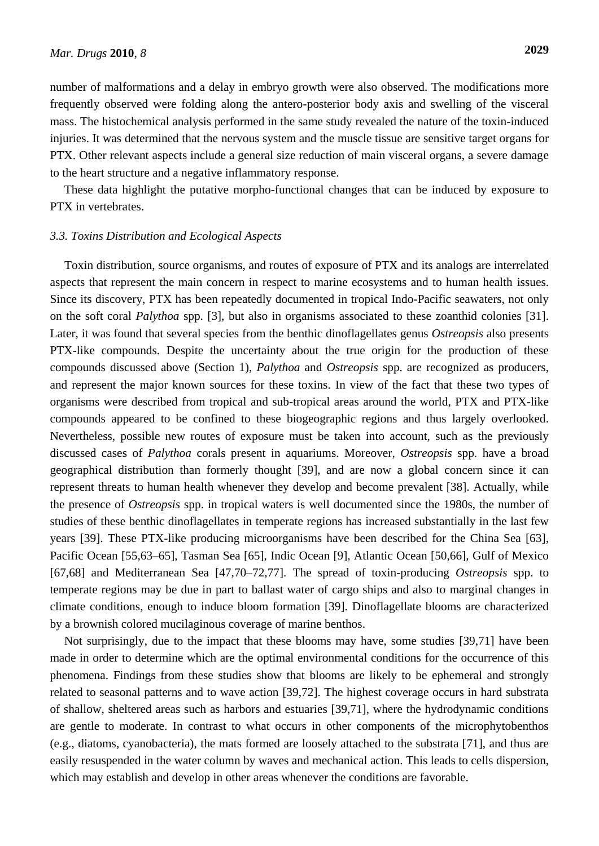number of malformations and a delay in embryo growth were also observed. The modifications more frequently observed were folding along the antero-posterior body axis and swelling of the visceral mass. The histochemical analysis performed in the same study revealed the nature of the toxin-induced injuries. It was determined that the nervous system and the muscle tissue are sensitive target organs for PTX. Other relevant aspects include a general size reduction of main visceral organs, a severe damage to the heart structure and a negative inflammatory response.

These data highlight the putative morpho-functional changes that can be induced by exposure to PTX in vertebrates.

#### *3.3. Toxins Distribution and Ecological Aspects*

Toxin distribution, source organisms, and routes of exposure of PTX and its analogs are interrelated aspects that represent the main concern in respect to marine ecosystems and to human health issues. Since its discovery, PTX has been repeatedly documented in tropical Indo-Pacific seawaters, not only on the soft coral *Palythoa* spp. [3], but also in organisms associated to these zoanthid colonies [31]. Later, it was found that several species from the benthic dinoflagellates genus *Ostreopsis* also presents PTX-like compounds. Despite the uncertainty about the true origin for the production of these compounds discussed above (Section 1), *Palythoa* and *Ostreopsis* spp. are recognized as producers, and represent the major known sources for these toxins. In view of the fact that these two types of organisms were described from tropical and sub-tropical areas around the world, PTX and PTX-like compounds appeared to be confined to these biogeographic regions and thus largely overlooked. Nevertheless, possible new routes of exposure must be taken into account, such as the previously discussed cases of *Palythoa* corals present in aquariums. Moreover, *Ostreopsis* spp. have a broad geographical distribution than formerly thought [39], and are now a global concern since it can represent threats to human health whenever they develop and become prevalent [38]. Actually, while the presence of *Ostreopsis* spp. in tropical waters is well documented since the 1980s, the number of studies of these benthic dinoflagellates in temperate regions has increased substantially in the last few years [39]. These PTX-like producing microorganisms have been described for the China Sea [63], Pacific Ocean [55,63–65], Tasman Sea [65], Indic Ocean [9], Atlantic Ocean [50,66], Gulf of Mexico [67,68] and Mediterranean Sea [47,70–72,77]. The spread of toxin-producing *Ostreopsis* spp. to temperate regions may be due in part to ballast water of cargo ships and also to marginal changes in climate conditions, enough to induce bloom formation [39]. Dinoflagellate blooms are characterized by a brownish colored mucilaginous coverage of marine benthos.

Not surprisingly, due to the impact that these blooms may have, some studies [39,71] have been made in order to determine which are the optimal environmental conditions for the occurrence of this phenomena. Findings from these studies show that blooms are likely to be ephemeral and strongly related to seasonal patterns and to wave action [39,72]. The highest coverage occurs in hard substrata of shallow, sheltered areas such as harbors and estuaries [39,71], where the hydrodynamic conditions are gentle to moderate. In contrast to what occurs in other components of the microphytobenthos (e.g., diatoms, cyanobacteria), the mats formed are loosely attached to the substrata [71], and thus are easily resuspended in the water column by waves and mechanical action. This leads to cells dispersion, which may establish and develop in other areas whenever the conditions are favorable.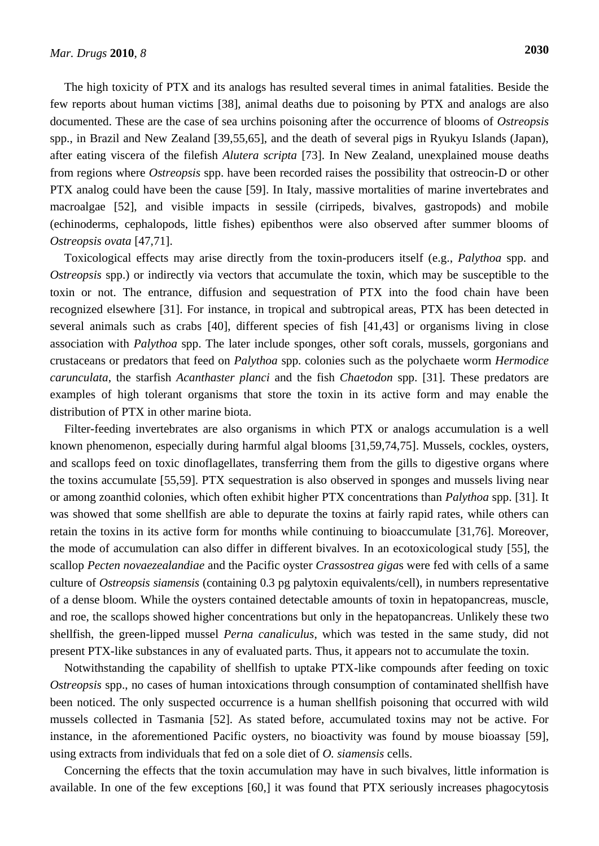The high toxicity of PTX and its analogs has resulted several times in animal fatalities. Beside the few reports about human victims [38], animal deaths due to poisoning by PTX and analogs are also documented. These are the case of sea urchins poisoning after the occurrence of blooms of *Ostreopsis* spp., in Brazil and New Zealand [39,55,65], and the death of several pigs in Ryukyu Islands (Japan), after eating viscera of the filefish *Alutera scripta* [73]. In New Zealand, unexplained mouse deaths from regions where *Ostreopsis* spp. have been recorded raises the possibility that ostreocin-D or other PTX analog could have been the cause [59]. In Italy, massive mortalities of marine invertebrates and macroalgae [52], and visible impacts in sessile (cirripeds, bivalves, gastropods) and mobile (echinoderms, cephalopods, little fishes) epibenthos were also observed after summer blooms of *Ostreopsis ovata* [47,71].

Toxicological effects may arise directly from the toxin-producers itself (e.g., *Palythoa* spp. and *Ostreopsis* spp.) or indirectly via vectors that accumulate the toxin, which may be susceptible to the toxin or not. The entrance, diffusion and sequestration of PTX into the food chain have been recognized elsewhere [31]. For instance, in tropical and subtropical areas, PTX has been detected in several animals such as crabs [40], different species of fish [41,43] or organisms living in close association with *Palythoa* spp. The later include sponges, other soft corals, mussels, gorgonians and crustaceans or predators that feed on *Palythoa* spp. colonies such as the polychaete worm *Hermodice carunculata*, the starfish *Acanthaster planci* and the fish *Chaetodon* spp. [31]. These predators are examples of high tolerant organisms that store the toxin in its active form and may enable the distribution of PTX in other marine biota.

Filter-feeding invertebrates are also organisms in which PTX or analogs accumulation is a well known phenomenon, especially during harmful algal blooms [31,59,74,75]. Mussels, cockles, oysters, and scallops feed on toxic dinoflagellates, transferring them from the gills to digestive organs where the toxins accumulate [55,59]. PTX sequestration is also observed in sponges and mussels living near or among zoanthid colonies, which often exhibit higher PTX concentrations than *Palythoa* spp. [31]. It was showed that some shellfish are able to depurate the toxins at fairly rapid rates, while others can retain the toxins in its active form for months while continuing to bioaccumulate [31,76]. Moreover, the mode of accumulation can also differ in different bivalves. In an ecotoxicological study [55], the scallop *Pecten novaezealandiae* and the Pacific oyster *Crassostrea giga*s were fed with cells of a same culture of *Ostreopsis siamensis* (containing 0.3 pg palytoxin equivalents/cell), in numbers representative of a dense bloom. While the oysters contained detectable amounts of toxin in hepatopancreas, muscle, and roe, the scallops showed higher concentrations but only in the hepatopancreas. Unlikely these two shellfish, the green-lipped mussel *Perna canaliculus*, which was tested in the same study, did not present PTX-like substances in any of evaluated parts. Thus, it appears not to accumulate the toxin.

Notwithstanding the capability of shellfish to uptake PTX-like compounds after feeding on toxic *Ostreopsis* spp., no cases of human intoxications through consumption of contaminated shellfish have been noticed. The only suspected occurrence is a human shellfish poisoning that occurred with wild mussels collected in Tasmania [52]. As stated before, accumulated toxins may not be active. For instance, in the aforementioned Pacific oysters, no bioactivity was found by mouse bioassay [59], using extracts from individuals that fed on a sole diet of *O. siamensis* cells.

Concerning the effects that the toxin accumulation may have in such bivalves, little information is available. In one of the few exceptions [60,] it was found that PTX seriously increases phagocytosis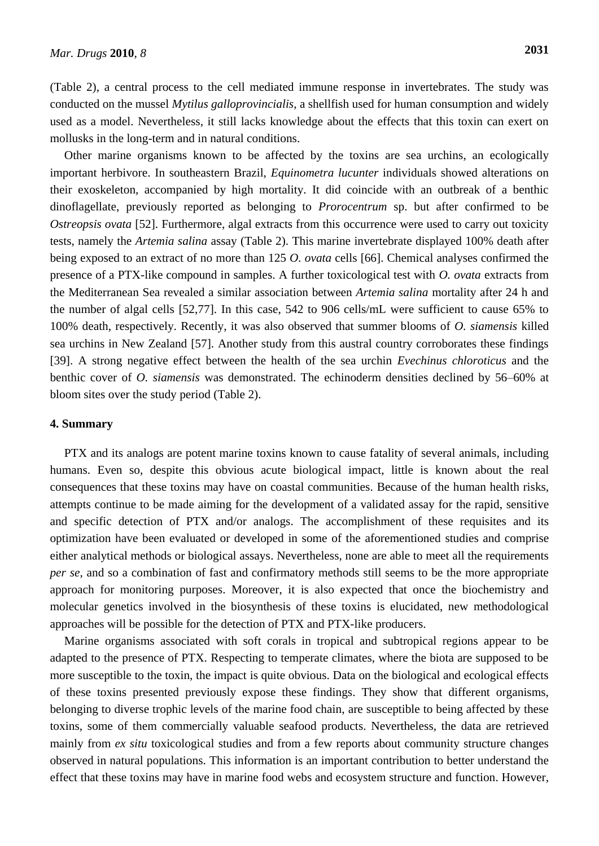(Table 2), a central process to the cell mediated immune response in invertebrates. The study was conducted on the mussel *Mytilus galloprovincialis*, a shellfish used for human consumption and widely used as a model. Nevertheless, it still lacks knowledge about the effects that this toxin can exert on mollusks in the long-term and in natural conditions.

Other marine organisms known to be affected by the toxins are sea urchins, an ecologically important herbivore. In southeastern Brazil, *Equinometra lucunter* individuals showed alterations on their exoskeleton, accompanied by high mortality. It did coincide with an outbreak of a benthic dinoflagellate, previously reported as belonging to *Prorocentrum* sp. but after confirmed to be *Ostreopsis ovata* [52]. Furthermore, algal extracts from this occurrence were used to carry out toxicity tests, namely the *Artemia salina* assay (Table 2). This marine invertebrate displayed 100% death after being exposed to an extract of no more than 125 *O. ovata* cells [66]. Chemical analyses confirmed the presence of a PTX-like compound in samples. A further toxicological test with *O. ovata* extracts from the Mediterranean Sea revealed a similar association between *Artemia salina* mortality after 24 h and the number of algal cells [52,77]. In this case, 542 to 906 cells/mL were sufficient to cause 65% to 100% death, respectively. Recently, it was also observed that summer blooms of *O. siamensis* killed sea urchins in New Zealand [57]. Another study from this austral country corroborates these findings [39]. A strong negative effect between the health of the sea urchin *Evechinus chloroticus* and the benthic cover of *O. siamensis* was demonstrated. The echinoderm densities declined by 56–60% at bloom sites over the study period (Table 2).

#### **4. Summary**

PTX and its analogs are potent marine toxins known to cause fatality of several animals, including humans. Even so, despite this obvious acute biological impact, little is known about the real consequences that these toxins may have on coastal communities. Because of the human health risks, attempts continue to be made aiming for the development of a validated assay for the rapid, sensitive and specific detection of PTX and/or analogs. The accomplishment of these requisites and its optimization have been evaluated or developed in some of the aforementioned studies and comprise either analytical methods or biological assays. Nevertheless, none are able to meet all the requirements *per se*, and so a combination of fast and confirmatory methods still seems to be the more appropriate approach for monitoring purposes. Moreover, it is also expected that once the biochemistry and molecular genetics involved in the biosynthesis of these toxins is elucidated, new methodological approaches will be possible for the detection of PTX and PTX-like producers.

Marine organisms associated with soft corals in tropical and subtropical regions appear to be adapted to the presence of PTX. Respecting to temperate climates, where the biota are supposed to be more susceptible to the toxin, the impact is quite obvious. Data on the biological and ecological effects of these toxins presented previously expose these findings. They show that different organisms, belonging to diverse trophic levels of the marine food chain, are susceptible to being affected by these toxins, some of them commercially valuable seafood products. Nevertheless, the data are retrieved mainly from *ex situ* toxicological studies and from a few reports about community structure changes observed in natural populations. This information is an important contribution to better understand the effect that these toxins may have in marine food webs and ecosystem structure and function. However,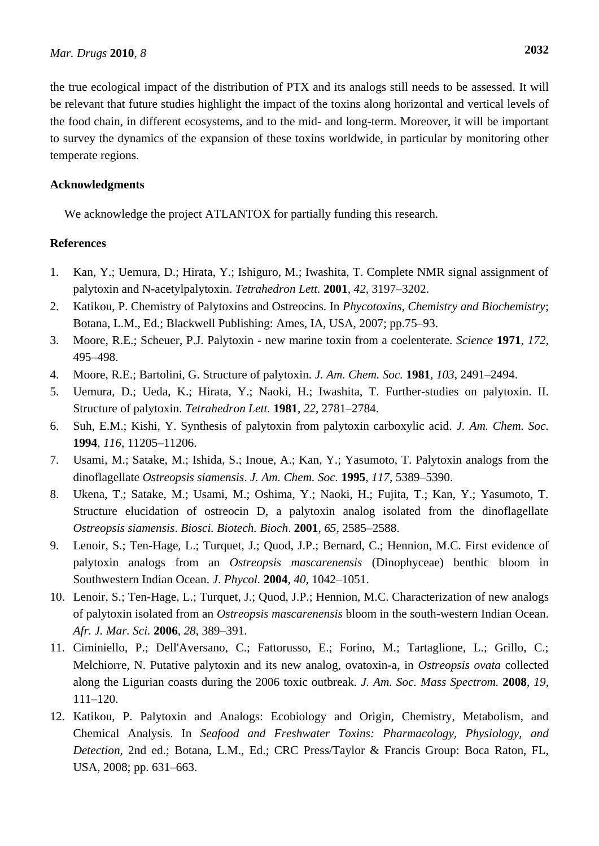the true ecological impact of the distribution of PTX and its analogs still needs to be assessed. It will be relevant that future studies highlight the impact of the toxins along horizontal and vertical levels of the food chain, in different ecosystems, and to the mid- and long-term. Moreover, it will be important to survey the dynamics of the expansion of these toxins worldwide, in particular by monitoring other temperate regions.

# **Acknowledgments**

We acknowledge the project ATLANTOX for partially funding this research.

## **References**

- 1. Kan, Y.; Uemura, D.; Hirata, Y.; Ishiguro, M.; Iwashita, T. Complete NMR signal assignment of palytoxin and N-acetylpalytoxin. *Tetrahedron Lett.* **2001**, *42*, 3197–3202.
- 2. Katikou, P. Chemistry of Palytoxins and Ostreocins. In *Phycotoxins, Chemistry and Biochemistry*; Botana, L.M., Ed.; Blackwell Publishing: Ames, IA, USA, 2007; pp.75–93.
- 3. Moore, R.E.; Scheuer, P.J. Palytoxin new marine toxin from a coelenterate. *Science* **1971**, *172*, 495–498.
- 4. Moore, R.E.; Bartolini, G. Structure of palytoxin. *J. Am. Chem. Soc.* **1981**, *103*, 2491–2494.
- 5. Uemura, D.; Ueda, K.; Hirata, Y.; Naoki, H.; Iwashita, T. Further-studies on palytoxin. II. Structure of palytoxin. *Tetrahedron Lett.* **1981**, *22*, 2781–2784.
- 6. Suh, E.M.; Kishi, Y. Synthesis of palytoxin from palytoxin carboxylic acid. *J. Am. Chem. Soc.*  **1994**, *116*, 11205–11206.
- 7. Usami, M.; Satake, M.; Ishida, S.; Inoue, A.; Kan, Y.; Yasumoto, T. Palytoxin analogs from the dinoflagellate *Ostreopsis siamensis*. *J. Am. Chem. Soc.* **1995**, *117,* 5389–5390.
- 8. Ukena, T.; Satake, M.; Usami, M.; Oshima, Y.; Naoki, H.; Fujita, T.; Kan, Y.; Yasumoto, T. Structure elucidation of ostreocin D, a palytoxin analog isolated from the dinoflagellate *Ostreopsis siamensis*. *Biosci. Biotech. Bioch*. **2001**, *65*, 2585–2588.
- 9. Lenoir, S.; Ten-Hage, L.; Turquet, J.; Quod, J.P.; Bernard, C.; Hennion, M.C. First evidence of palytoxin analogs from an *Ostreopsis mascarenensis* (Dinophyceae) benthic bloom in Southwestern Indian Ocean. *J*. *Phycol.* **2004**, *40*, 1042–1051.
- 10. Lenoir, S.; Ten-Hage, L.; Turquet, J.; Quod, J.P.; Hennion, M.C. Characterization of new analogs of palytoxin isolated from an *Ostreopsis mascarenensis* bloom in the south-western Indian Ocean. *Afr. J. Mar. Sci.* **2006**, *28*, 389–391.
- 11. Ciminiello, P.; Dell'Aversano, C.; Fattorusso, E.; Forino, M.; Tartaglione, L.; Grillo, C.; Melchiorre, N. Putative palytoxin and its new analog, ovatoxin-a, in *Ostreopsis ovata* collected along the Ligurian coasts during the 2006 toxic outbreak. *J. Am. Soc. Mass Spectrom.* **2008**, *19*, 111–120.
- 12. Katikou, P. Palytoxin and Analogs: Ecobiology and Origin, Chemistry, Metabolism, and Chemical Analysis. In *Seafood and Freshwater Toxins: Pharmacology, Physiology, and Detection*, 2nd ed.; Botana, L.M., Ed.; CRC Press/Taylor & Francis Group: Boca Raton, FL, USA, 2008; pp. 631–663.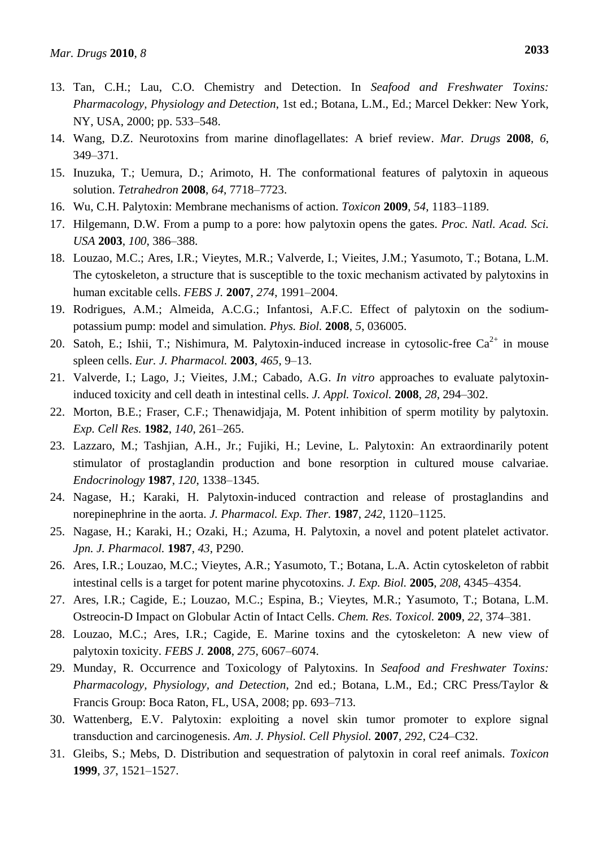- 13. Tan, C.H.; Lau, C.O. Chemistry and Detection. In *Seafood and Freshwater Toxins: Pharmacology, Physiology and Detection*, 1st ed.; Botana, L.M., Ed.; Marcel Dekker: New York, NY, USA, 2000; pp. 533–548.
- 14. Wang, D.Z. Neurotoxins from marine dinoflagellates: A brief review. *Mar. Drugs* **2008**, *6*, 349–371.
- 15. Inuzuka, T.; Uemura, D.; Arimoto, H. The conformational features of palytoxin in aqueous solution. *Tetrahedron* **2008**, *64*, 7718–7723.
- 16. Wu, C.H. Palytoxin: Membrane mechanisms of action. *Toxicon* **2009**, *54*, 1183–1189.
- 17. Hilgemann, D.W. From a pump to a pore: how palytoxin opens the gates. *Proc. Natl. Acad. Sci. USA* **2003**, *100*, 386–388.
- 18. Louzao, M.C.; Ares, I.R.; Vieytes, M.R.; Valverde, I.; Vieites, J.M.; Yasumoto, T.; Botana, L.M. The cytoskeleton, a structure that is susceptible to the toxic mechanism activated by palytoxins in human excitable cells. *FEBS J.* **2007**, *274*, 1991–2004.
- 19. Rodrigues, A.M.; Almeida, A.C.G.; Infantosi, A.F.C. Effect of palytoxin on the sodiumpotassium pump: model and simulation. *Phys. Biol.* **2008**, *5*, 036005.
- 20. Satoh, E.; Ishii, T.; Nishimura, M. Palytoxin-induced increase in cytosolic-free  $Ca^{2+}$  in mouse spleen cells. *Eur. J. Pharmacol.* **2003**, *465*, 9–13.
- 21. Valverde, I.; Lago, J.; Vieites, J.M.; Cabado, A.G. *In vitro* approaches to evaluate palytoxininduced toxicity and cell death in intestinal cells. *J. Appl. Toxicol.* **2008**, *28*, 294–302.
- 22. Morton, B.E.; Fraser, C.F.; Thenawidjaja, M. Potent inhibition of sperm motility by palytoxin. *Exp. Cell Res.* **1982**, *140*, 261–265.
- 23. Lazzaro, M.; Tashjian, A.H., Jr.; Fujiki, H.; Levine, L. Palytoxin: An extraordinarily potent stimulator of prostaglandin production and bone resorption in cultured mouse calvariae. *Endocrinology* **1987**, *120*, 1338–1345.
- 24. Nagase, H.; Karaki, H. Palytoxin-induced contraction and release of prostaglandins and norepinephrine in the aorta. *J. Pharmacol. Exp. Ther.* **1987**, *242*, 1120–1125.
- 25. Nagase, H.; Karaki, H.; Ozaki, H.; Azuma, H. Palytoxin, a novel and potent platelet activator. *Jpn. J. Pharmacol.* **1987**, *43*, P290.
- 26. Ares, I.R.; Louzao, M.C.; Vieytes, A.R.; Yasumoto, T.; Botana, L.A. Actin cytoskeleton of rabbit intestinal cells is a target for potent marine phycotoxins. *J. Exp. Biol.* **2005**, *208*, 4345–4354.
- 27. Ares, I.R.; Cagide, E.; Louzao, M.C.; Espina, B.; Vieytes, M.R.; Yasumoto, T.; Botana, L.M. Ostreocin-D Impact on Globular Actin of Intact Cells. *Chem. Res. Toxicol.* **2009**, *22*, 374–381.
- 28. Louzao, M.C.; Ares, I.R.; Cagide, E. Marine toxins and the cytoskeleton: A new view of palytoxin toxicity. *FEBS J.* **2008**, *275*, 6067–6074.
- 29. Munday, R. Occurrence and Toxicology of Palytoxins. In *Seafood and Freshwater Toxins: Pharmacology, Physiology, and Detection*, 2nd ed.; Botana, L.M., Ed.; CRC Press/Taylor & Francis Group: Boca Raton, FL, USA, 2008; pp. 693–713.
- 30. Wattenberg, E.V. Palytoxin: exploiting a novel skin tumor promoter to explore signal transduction and carcinogenesis. *Am. J. Physiol. Cell Physiol.* **2007**, *292*, C24–C32.
- 31. Gleibs, S.; Mebs, D. Distribution and sequestration of palytoxin in coral reef animals. *Toxicon* **1999**, *37*, 1521–1527.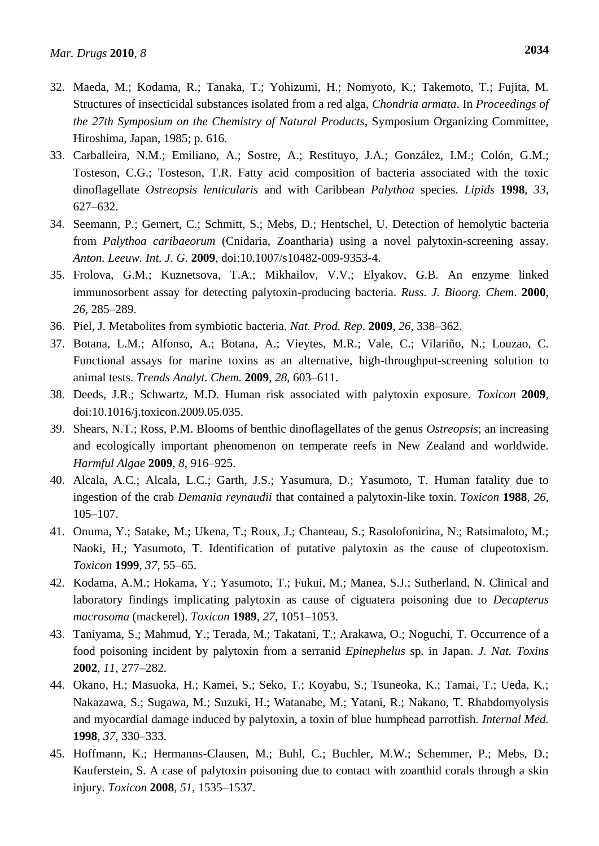- 32. Maeda, M.; Kodama, R.; Tanaka, T.; Yohizumi, H.; Nomyoto, K.; Takemoto, T.; Fujita, M. Structures of insecticidal substances isolated from a red alga, *Chondria armata*. In *Proceedings of the 27th Symposium on the Chemistry of Natural Products*, Symposium Organizing Committee, Hiroshima, Japan, 1985; p. 616.
- 33. Carballeira, N.M.; Emiliano, A.; Sostre, A.; Restituyo, J.A.; González, I.M.; Colón, G.M.; Tosteson, C.G.; Tosteson, T.R. Fatty acid composition of bacteria associated with the toxic dinoflagellate *Ostreopsis lenticularis* and with Caribbean *Palythoa* species. *Lipids* **1998**, *33*, 627–632.
- 34. Seemann, P.; Gernert, C.; Schmitt, S.; Mebs, D.; Hentschel, U. Detection of hemolytic bacteria from *Palythoa caribaeorum* (Cnidaria, Zoantharia) using a novel palytoxin-screening assay. *Anton. Leeuw. Int. J. G.* **2009**, doi:10.1007/s10482-009-9353-4.
- 35. Frolova, G.M.; Kuznetsova, T.A.; Mikhailov, V.V.; Elyakov, G.B. An enzyme linked immunosorbent assay for detecting palytoxin-producing bacteria. *Russ. J. Bioorg. Chem*. **2000**, *26*, 285–289.
- 36. Piel, J. Metabolites from symbiotic bacteria. *Nat. Prod. Rep.* **2009**, *26*, 338–362.
- 37. Botana, L.M.; Alfonso, A.; Botana, A.; Vieytes, M.R.; Vale, C.; Vilariño, N.; Louzao, C. Functional assays for marine toxins as an alternative, high-throughput-screening solution to animal tests. *Trends Analyt. Chem.* **2009**, *28*, 603–611.
- 38. Deeds, J.R.; Schwartz, M.D. Human risk associated with palytoxin exposure. *Toxicon* **2009**, doi:10.1016/j.toxicon.2009.05.035.
- 39. Shears, N.T.; Ross, P.M. Blooms of benthic dinoflagellates of the genus *Ostreopsis*; an increasing and ecologically important phenomenon on temperate reefs in New Zealand and worldwide. *Harmful Algae* **2009**, *8*, 916–925.
- 40. Alcala, A.C.; Alcala, L.C.; Garth, J.S.; Yasumura, D.; Yasumoto, T. Human fatality due to ingestion of the crab *Demania reynaudii* that contained a palytoxin-like toxin. *Toxicon* **1988**, *26*, 105–107.
- 41. Onuma, Y.; Satake, M.; Ukena, T.; Roux, J.; Chanteau, S.; Rasolofonirina, N.; Ratsimaloto, M.; Naoki, H.; Yasumoto, T. Identification of putative palytoxin as the cause of clupeotoxism. *Toxicon* **1999**, *37*, 55–65.
- 42. Kodama, A.M.; Hokama, Y.; Yasumoto, T.; Fukui, M.; Manea, S.J.; Sutherland, N. Clinical and laboratory findings implicating palytoxin as cause of ciguatera poisoning due to *Decapterus macrosoma* (mackerel). *Toxicon* **1989**, *27*, 1051–1053.
- 43. Taniyama, S.; Mahmud, Y.; Terada, M.; Takatani, T.; Arakawa, O.; Noguchi, T. Occurrence of a food poisoning incident by palytoxin from a serranid *Epinephelus* sp. in Japan. *J. Nat. Toxins* **2002**, *11*, 277–282.
- 44. Okano, H.; Masuoka, H.; Kamei, S.; Seko, T.; Koyabu, S.; Tsuneoka, K.; Tamai, T.; Ueda, K.; Nakazawa, S.; Sugawa, M.; Suzuki, H.; Watanabe, M.; Yatani, R.; Nakano, T. Rhabdomyolysis and myocardial damage induced by palytoxin, a toxin of blue humphead parrotfish. *Internal Med.* **1998**, *37*, 330–333.
- 45. Hoffmann, K.; Hermanns-Clausen, M.; Buhl, C.; Buchler, M.W.; Schemmer, P.; Mebs, D.; Kauferstein, S. A case of palytoxin poisoning due to contact with zoanthid corals through a skin injury. *Toxicon* **2008**, *51*, 1535–1537.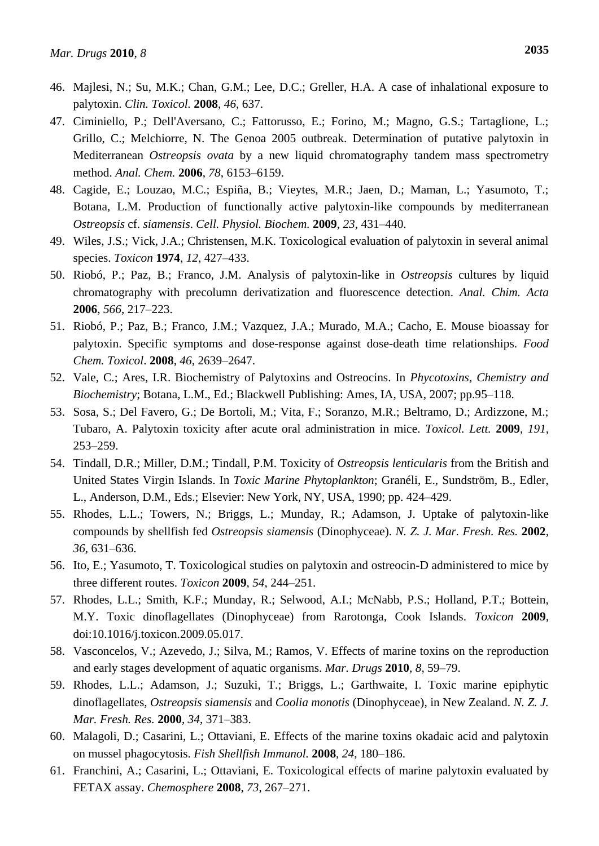- 46. Majlesi, N.; Su, M.K.; Chan, G.M.; Lee, D.C.; Greller, H.A. A case of inhalational exposure to palytoxin. *Clin. Toxicol.* **2008**, *46*, 637.
- 47. Ciminiello, P.; Dell'Aversano, C.; Fattorusso, E.; Forino, M.; Magno, G.S.; Tartaglione, L.; Grillo, C.; Melchiorre, N. The Genoa 2005 outbreak. Determination of putative palytoxin in Mediterranean *Ostreopsis ovata* by a new liquid chromatography tandem mass spectrometry method. *Anal. Chem.* **2006**, *78*, 6153–6159.
- 48. Cagide, E.; Louzao, M.C.; Espiña, B.; Vieytes, M.R.; Jaen, D.; Maman, L.; Yasumoto, T.; Botana, L.M. Production of functionally active palytoxin-like compounds by mediterranean *Ostreopsis* cf. *siamensis*. *Cell. Physiol. Biochem.* **2009**, *23*, 431–440.
- 49. Wiles, J.S.; Vick, J.A.; Christensen, M.K. Toxicological evaluation of palytoxin in several animal species. *Toxicon* **1974**, *12*, 427–433.
- 50. Riobó, P.; Paz, B.; Franco, J.M. Analysis of palytoxin-like in *Ostreopsis* cultures by liquid chromatography with precolumn derivatization and fluorescence detection. *Anal. Chim. Acta* **2006**, *566*, 217–223.
- 51. Riobó, P.; Paz, B.; Franco, J.M.; Vazquez, J.A.; Murado, M.A.; Cacho, E. Mouse bioassay for palytoxin. Specific symptoms and dose-response against dose-death time relationships. *Food Chem. Toxicol*. **2008**, *46*, 2639–2647.
- 52. Vale, C.; Ares, I.R. Biochemistry of Palytoxins and Ostreocins. In *Phycotoxins, Chemistry and Biochemistry*; Botana, L.M., Ed.; Blackwell Publishing: Ames, IA, USA, 2007; pp.95–118.
- 53. Sosa, S.; Del Favero, G.; De Bortoli, M.; Vita, F.; Soranzo, M.R.; Beltramo, D.; Ardizzone, M.; Tubaro, A. Palytoxin toxicity after acute oral administration in mice. *Toxicol. Lett.* **2009**, *191*, 253–259.
- 54. Tindall, D.R.; Miller, D.M.; Tindall, P.M. Toxicity of *Ostreopsis lenticularis* from the British and United States Virgin Islands. In *Toxic Marine Phytoplankton*; Granéli, E., Sundström, B., Edler, L., Anderson, D.M., Eds.; Elsevier: New York, NY, USA, 1990; pp. 424–429.
- 55. Rhodes, L.L.; Towers, N.; Briggs, L.; Munday, R.; Adamson, J. Uptake of palytoxin-like compounds by shellfish fed *Ostreopsis siamensis* (Dinophyceae). *N. Z. J. Mar. Fresh. Res.* **2002**, *36*, 631–636.
- 56. Ito, E.; Yasumoto, T. Toxicological studies on palytoxin and ostreocin-D administered to mice by three different routes. *Toxicon* **2009**, *54*, 244–251.
- 57. Rhodes, L.L.; Smith, K.F.; Munday, R.; Selwood, A.I.; McNabb, P.S.; Holland, P.T.; Bottein, M.Y. Toxic dinoflagellates (Dinophyceae) from Rarotonga, Cook Islands. *Toxicon* **2009**, doi:10.1016/j.toxicon.2009.05.017.
- 58. Vasconcelos, V.; Azevedo, J.; Silva, M.; Ramos, V. Effects of marine toxins on the reproduction and early stages development of aquatic organisms. *Mar. Drugs* **2010**, *8*, 59–79.
- 59. Rhodes, L.L.; Adamson, J.; Suzuki, T.; Briggs, L.; Garthwaite, I. Toxic marine epiphytic dinoflagellates, *Ostreopsis siamensis* and *Coolia monotis* (Dinophyceae), in New Zealand. *N. Z. J. Mar. Fresh. Res.* **2000**, *34*, 371–383.
- 60. Malagoli, D.; Casarini, L.; Ottaviani, E. Effects of the marine toxins okadaic acid and palytoxin on mussel phagocytosis. *Fish Shellfish Immunol.* **2008**, *24*, 180–186.
- 61. Franchini, A.; Casarini, L.; Ottaviani, E. Toxicological effects of marine palytoxin evaluated by FETAX assay. *Chemosphere* **2008**, *73*, 267–271.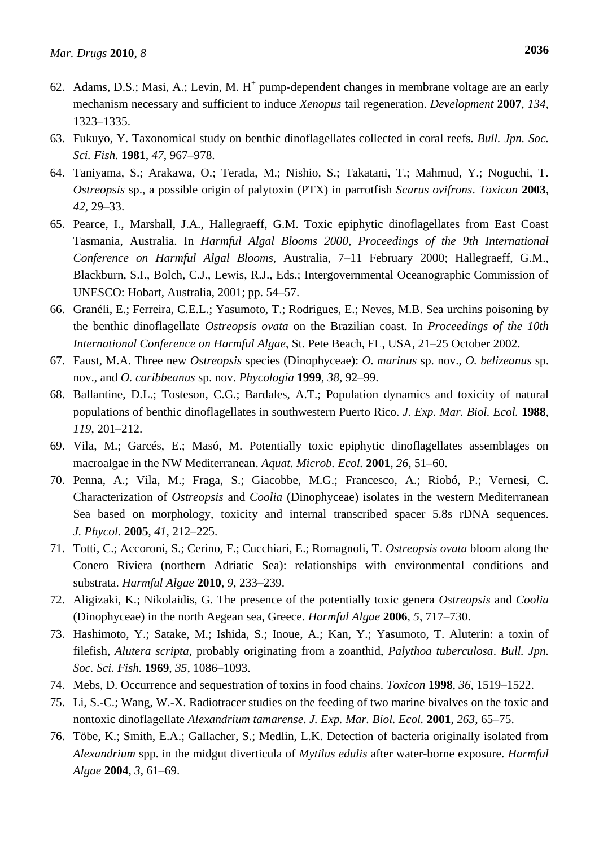- 62. Adams, D.S.; Masi, A.; Levin, M.  $H^+$  pump-dependent changes in membrane voltage are an early mechanism necessary and sufficient to induce *Xenopus* tail regeneration. *Development* **2007**, *134*, 1323–1335.
- 63. Fukuyo, Y. Taxonomical study on benthic dinoflagellates collected in coral reefs. *Bull. Jpn. Soc. Sci. Fish.* **1981**, *47*, 967–978.
- 64. Taniyama, S.; Arakawa, O.; Terada, M.; Nishio, S.; Takatani, T.; Mahmud, Y.; Noguchi, T. *Ostreopsis* sp., a possible origin of palytoxin (PTX) in parrotfish *Scarus ovifrons*. *Toxicon* **2003**, *42*, 29–33.
- 65. Pearce, I., Marshall, J.A., Hallegraeff, G.M. Toxic epiphytic dinoflagellates from East Coast Tasmania, Australia. In *Harmful Algal Blooms 2000*, *Proceedings of the 9th International Conference on Harmful Algal Blooms*, Australia, 7–11 February 2000; Hallegraeff, G.M., Blackburn, S.I., Bolch, C.J., Lewis, R.J., Eds.; Intergovernmental Oceanographic Commission of UNESCO: Hobart, Australia, 2001; pp. 54–57.
- 66. Granéli, E.; Ferreira, C.E.L.; Yasumoto, T.; Rodrigues, E.; Neves, M.B. Sea urchins poisoning by the benthic dinoflagellate *Ostreopsis ovata* on the Brazilian coast. In *Proceedings of the 10th International Conference on Harmful Algae*, St. Pete Beach, FL, USA, 21–25 October 2002.
- 67. Faust, M.A. Three new *Ostreopsis* species (Dinophyceae): *O. marinus* sp. nov., *O. belizeanus* sp. nov., and *O. caribbeanus* sp. nov. *Phycologia* **1999**, *38*, 92–99.
- 68. Ballantine, D.L.; Tosteson, C.G.; Bardales, A.T.; Population dynamics and toxicity of natural populations of benthic dinoflagellates in southwestern Puerto Rico. *J. Exp. Mar. Biol. Ecol.* **1988**, *119*, 201–212.
- 69. Vila, M.; Garcés, E.; Masó, M. Potentially toxic epiphytic dinoflagellates assemblages on macroalgae in the NW Mediterranean. *Aquat. Microb. Ecol.* **2001**, *26*, 51–60.
- 70. Penna, A.; Vila, M.; Fraga, S.; Giacobbe, M.G.; Francesco, A.; Riobó, P.; Vernesi, C. Characterization of *Ostreopsis* and *Coolia* (Dinophyceae) isolates in the western Mediterranean Sea based on morphology, toxicity and internal transcribed spacer 5.8s rDNA sequences. *J. Phycol.* **2005**, *41*, 212–225.
- 71. Totti, C.; Accoroni, S.; Cerino, F.; Cucchiari, E.; Romagnoli, T. *Ostreopsis ovata* bloom along the Conero Riviera (northern Adriatic Sea): relationships with environmental conditions and substrata. *Harmful Algae* **2010**, *9*, 233–239.
- 72. Aligizaki, K.; Nikolaidis, G. The presence of the potentially toxic genera *Ostreopsis* and *Coolia* (Dinophyceae) in the north Aegean sea, Greece. *Harmful Algae* **2006**, *5*, 717–730.
- 73. Hashimoto, Y.; Satake, M.; Ishida, S.; Inoue, A.; Kan, Y.; Yasumoto, T. Aluterin: a toxin of filefish, *Alutera scripta*, probably originating from a zoanthid, *Palythoa tuberculosa*. *Bull. Jpn. Soc. Sci. Fish.* **1969**, *35*, 1086–1093.
- 74. Mebs, D. Occurrence and sequestration of toxins in food chains. *Toxicon* **1998**, *36*, 1519–1522.
- 75. Li, S.-C.; Wang, W.-X. Radiotracer studies on the feeding of two marine bivalves on the toxic and nontoxic dinoflagellate *Alexandrium tamarense*. *J. Exp. Mar. Biol. Ecol.* **2001**, *263*, 65–75.
- 76. Töbe, K.; Smith, E.A.; Gallacher, S.; Medlin, L.K. Detection of bacteria originally isolated from *Alexandrium* spp. in the midgut diverticula of *Mytilus edulis* after water-borne exposure. *Harmful Algae* **2004**, *3*, 61–69.